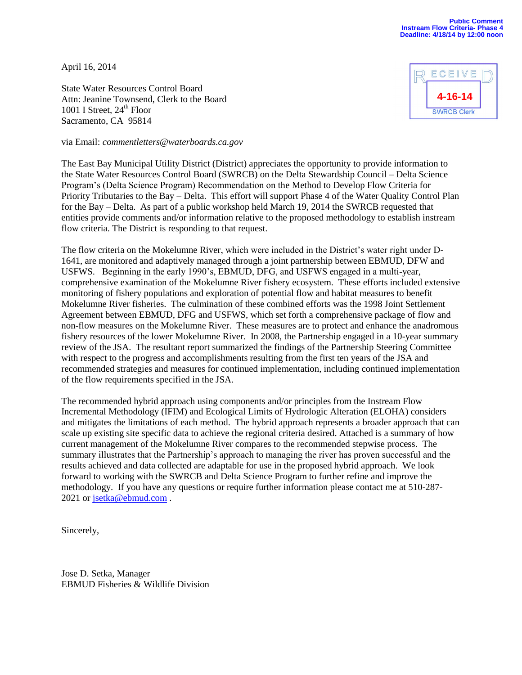April 16, 2014

State Water Resources Control Board Attn: Jeanine Townsend, Clerk to the Board 1001 I Street,  $24<sup>th</sup>$  Floor Sacramento, CA 95814

ECEIV **4-16-14SWRCB Clerk** 

via Email: *commentletters@waterboards.ca.gov*

The East Bay Municipal Utility District (District) appreciates the opportunity to provide information to the State Water Resources Control Board (SWRCB) on the Delta Stewardship Council – Delta Science Program's (Delta Science Program) Recommendation on the Method to Develop Flow Criteria for Priority Tributaries to the Bay – Delta. This effort will support Phase 4 of the Water Quality Control Plan for the Bay – Delta. As part of a public workshop held March 19, 2014 the SWRCB requested that entities provide comments and/or information relative to the proposed methodology to establish instream flow criteria. The District is responding to that request.

The flow criteria on the Mokelumne River, which were included in the District's water right under D-1641, are monitored and adaptively managed through a joint partnership between EBMUD, DFW and USFWS. Beginning in the early 1990's, EBMUD, DFG, and USFWS engaged in a multi-year, comprehensive examination of the Mokelumne River fishery ecosystem. These efforts included extensive monitoring of fishery populations and exploration of potential flow and habitat measures to benefit Mokelumne River fisheries. The culmination of these combined efforts was the 1998 Joint Settlement Agreement between EBMUD, DFG and USFWS, which set forth a comprehensive package of flow and non-flow measures on the Mokelumne River. These measures are to protect and enhance the anadromous fishery resources of the lower Mokelumne River. In 2008, the Partnership engaged in a 10-year summary review of the JSA. The resultant report summarized the findings of the Partnership Steering Committee with respect to the progress and accomplishments resulting from the first ten years of the JSA and recommended strategies and measures for continued implementation, including continued implementation of the flow requirements specified in the JSA.

The recommended hybrid approach using components and/or principles from the Instream Flow Incremental Methodology (IFIM) and Ecological Limits of Hydrologic Alteration (ELOHA) considers and mitigates the limitations of each method. The hybrid approach represents a broader approach that can scale up existing site specific data to achieve the regional criteria desired. Attached is a summary of how current management of the Mokelumne River compares to the recommended stepwise process. The summary illustrates that the Partnership's approach to managing the river has proven successful and the results achieved and data collected are adaptable for use in the proposed hybrid approach. We look forward to working with the SWRCB and Delta Science Program to further refine and improve the methodology. If you have any questions or require further information please contact me at 510-287 2021 o[r jsetka@ebmud.com](mailto:jsetka@ebmud.com).

Sincerely,

Jose D. Setka, Manager EBMUD Fisheries & Wildlife Division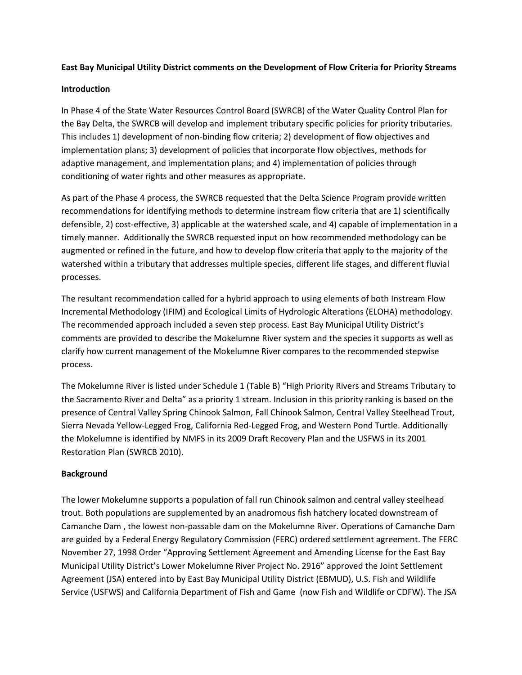#### **East Bay Municipal Utility District comments on the Development of Flow Criteria for Priority Streams**

#### **Introduction**

In Phase 4 of the State Water Resources Control Board (SWRCB) of the Water Quality Control Plan for the Bay Delta, the SWRCB will develop and implement tributary specific policies for priority tributaries. This includes 1) development of non-binding flow criteria; 2) development of flow objectives and implementation plans; 3) development of policies that incorporate flow objectives, methods for adaptive management, and implementation plans; and 4) implementation of policies through conditioning of water rights and other measures as appropriate.

As part of the Phase 4 process, the SWRCB requested that the Delta Science Program provide written recommendations for identifying methods to determine instream flow criteria that are 1) scientifically defensible, 2) cost-effective, 3) applicable at the watershed scale, and 4) capable of implementation in a timely manner. Additionally the SWRCB requested input on how recommended methodology can be augmented or refined in the future, and how to develop flow criteria that apply to the majority of the watershed within a tributary that addresses multiple species, different life stages, and different fluvial processes.

The resultant recommendation called for a hybrid approach to using elements of both Instream Flow Incremental Methodology (IFIM) and Ecological Limits of Hydrologic Alterations (ELOHA) methodology. The recommended approach included a seven step process. East Bay Municipal Utility District's comments are provided to describe the Mokelumne River system and the species it supports as well as clarify how current management of the Mokelumne River compares to the recommended stepwise process.

The Mokelumne River is listed under Schedule 1 (Table B) "High Priority Rivers and Streams Tributary to the Sacramento River and Delta" as a priority 1 stream. Inclusion in this priority ranking is based on the presence of Central Valley Spring Chinook Salmon, Fall Chinook Salmon, Central Valley Steelhead Trout, Sierra Nevada Yellow-Legged Frog, California Red-Legged Frog, and Western Pond Turtle. Additionally the Mokelumne is identified by NMFS in its 2009 Draft Recovery Plan and the USFWS in its 2001 Restoration Plan (SWRCB 2010).

# **Background**

The lower Mokelumne supports a population of fall run Chinook salmon and central valley steelhead trout. Both populations are supplemented by an anadromous fish hatchery located downstream of Camanche Dam , the lowest non-passable dam on the Mokelumne River. Operations of Camanche Dam are guided by a Federal Energy Regulatory Commission (FERC) ordered settlement agreement. The FERC November 27, 1998 Order "Approving Settlement Agreement and Amending License for the East Bay Municipal Utility District's Lower Mokelumne River Project No. 2916" approved the Joint Settlement Agreement (JSA) entered into by East Bay Municipal Utility District (EBMUD), U.S. Fish and Wildlife Service (USFWS) and California Department of Fish and Game (now Fish and Wildlife or CDFW). The JSA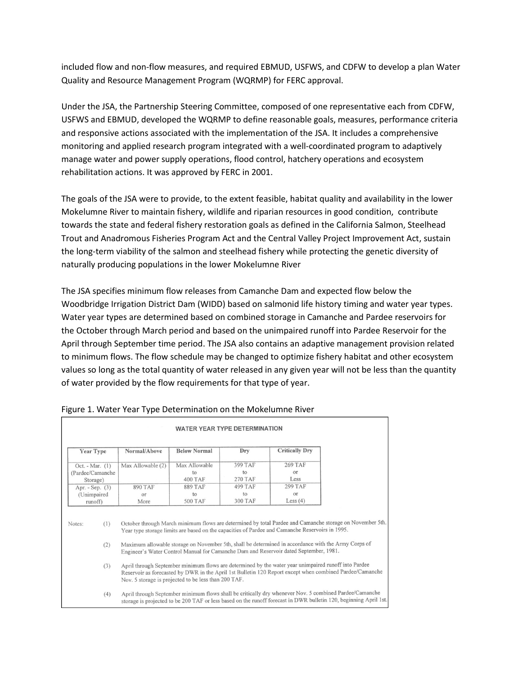included flow and non-flow measures, and required EBMUD, USFWS, and CDFW to develop a plan Water Quality and Resource Management Program (WQRMP) for FERC approval.

Under the JSA, the Partnership Steering Committee, composed of one representative each from CDFW, USFWS and EBMUD, developed the WQRMP to define reasonable goals, measures, performance criteria and responsive actions associated with the implementation of the JSA. It includes a comprehensive monitoring and applied research program integrated with a well-coordinated program to adaptively manage water and power supply operations, flood control, hatchery operations and ecosystem rehabilitation actions. It was approved by FERC in 2001.

The goals of the JSA were to provide, to the extent feasible, habitat quality and availability in the lower Mokelumne River to maintain fishery, wildlife and riparian resources in good condition, contribute towards the state and federal fishery restoration goals as defined in the California Salmon, Steelhead Trout and Anadromous Fisheries Program Act and the Central Valley Project Improvement Act, sustain the long-term viability of the salmon and steelhead fishery while protecting the genetic diversity of naturally producing populations in the lower Mokelumne River

The JSA specifies minimum flow releases from Camanche Dam and expected flow below the Woodbridge Irrigation District Dam (WIDD) based on salmonid life history timing and water year types. Water year types are determined based on combined storage in Camanche and Pardee reservoirs for the October through March period and based on the unimpaired runoff into Pardee Reservoir for the April through September time period. The JSA also contains an adaptive management provision related to minimum flows. The flow schedule may be changed to optimize fishery habitat and other ecosystem values so long as the total quantity of water released in any given year will not be less than the quantity of water provided by the flow requirements for that type of year.

|                                                   |                                                                                                                                                                                                                                                                                                                                                                                                                           | , ,                                                                                                                                                                                                                                                                                                                                                                                                                                                                                                     |                                        |                                 |                                           |  |  |  |
|---------------------------------------------------|---------------------------------------------------------------------------------------------------------------------------------------------------------------------------------------------------------------------------------------------------------------------------------------------------------------------------------------------------------------------------------------------------------------------------|---------------------------------------------------------------------------------------------------------------------------------------------------------------------------------------------------------------------------------------------------------------------------------------------------------------------------------------------------------------------------------------------------------------------------------------------------------------------------------------------------------|----------------------------------------|---------------------------------|-------------------------------------------|--|--|--|
|                                                   |                                                                                                                                                                                                                                                                                                                                                                                                                           |                                                                                                                                                                                                                                                                                                                                                                                                                                                                                                         | <b>WATER YEAR TYPE DETERMINATION</b>   |                                 |                                           |  |  |  |
| <b>Year Type</b>                                  |                                                                                                                                                                                                                                                                                                                                                                                                                           | Normal/Above                                                                                                                                                                                                                                                                                                                                                                                                                                                                                            | <b>Below Normal</b>                    | Dry                             | <b>Critically Dry</b>                     |  |  |  |
| Oct. - Mar. $(1)$<br>(Pardee/Camanche<br>Storage) |                                                                                                                                                                                                                                                                                                                                                                                                                           | Max Allowable (2)                                                                                                                                                                                                                                                                                                                                                                                                                                                                                       | Max Allowable<br>to<br><b>400 TAF</b>  | 399 TAF<br>to<br><b>270 TAF</b> | <b>269 TAF</b><br>ог<br>Less              |  |  |  |
| Apr. - Sep. (3)<br>(Unimpaired                    | runoff)                                                                                                                                                                                                                                                                                                                                                                                                                   | <b>890 TAF</b><br>O <sub>1</sub><br>More                                                                                                                                                                                                                                                                                                                                                                                                                                                                | <b>889 TAF</b><br>to<br><b>500 TAF</b> | <b>499 TAF</b><br>to<br>300 TAF | <b>299 TAF</b><br>$O\Gamma$<br>Less $(4)$ |  |  |  |
| Notes:                                            | October through March minimum flows are determined by total Pardee and Camanche storage on November 5th.<br>(1)<br>Year type storage limits are based on the capacities of Pardee and Camanche Reservoirs in 1995.<br>Maximum allowable storage on November 5th, shall be determined in accordance with the Army Corps of<br>(2)<br>Engineer's Water Control Manual for Camanche Dam and Reservoir dated September, 1981. |                                                                                                                                                                                                                                                                                                                                                                                                                                                                                                         |                                        |                                 |                                           |  |  |  |
|                                                   | (3)<br>(4)                                                                                                                                                                                                                                                                                                                                                                                                                | April through September minimum flows are determined by the water year unimpaired runoff into Pardee<br>Reservoir as forecasted by DWR in the April 1st Bulletin 120 Report except when combined Pardee/Camanche<br>Nov. 5 storage is projected to be less than 200 TAF.<br>April through September minimum flows shall be critically dry whenever Nov. 5 combined Pardee/Camanche<br>storage is projected to be 200 TAF or less based on the runoff forecast in DWR bulletin 120, beginning April 1st. |                                        |                                 |                                           |  |  |  |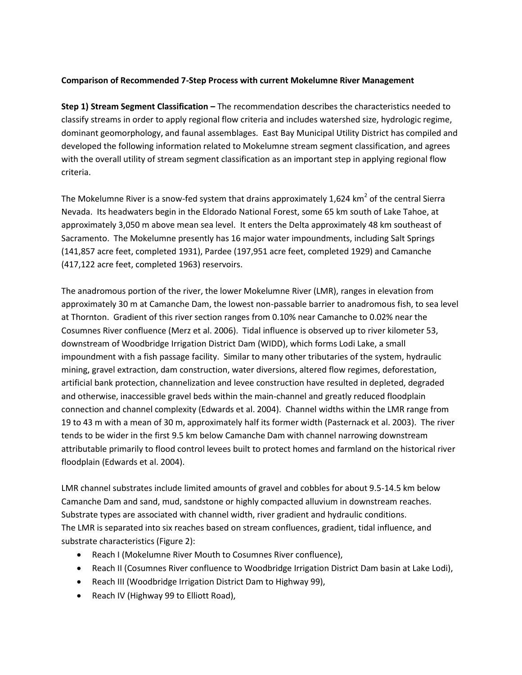## **Comparison of Recommended 7-Step Process with current Mokelumne River Management**

**Step 1) Stream Segment Classification –** The recommendation describes the characteristics needed to classify streams in order to apply regional flow criteria and includes watershed size, hydrologic regime, dominant geomorphology, and faunal assemblages. East Bay Municipal Utility District has compiled and developed the following information related to Mokelumne stream segment classification, and agrees with the overall utility of stream segment classification as an important step in applying regional flow criteria.

The Mokelumne River is a snow-fed system that drains approximately 1,624 km<sup>2</sup> of the central Sierra Nevada. Its headwaters begin in the Eldorado National Forest, some 65 km south of Lake Tahoe, at approximately 3,050 m above mean sea level. It enters the Delta approximately 48 km southeast of Sacramento. The Mokelumne presently has 16 major water impoundments, including Salt Springs (141,857 acre feet, completed 1931), Pardee (197,951 acre feet, completed 1929) and Camanche (417,122 acre feet, completed 1963) reservoirs.

The anadromous portion of the river, the lower Mokelumne River (LMR), ranges in elevation from approximately 30 m at Camanche Dam, the lowest non-passable barrier to anadromous fish, to sea level at Thornton. Gradient of this river section ranges from 0.10% near Camanche to 0.02% near the Cosumnes River confluence (Merz et al. 2006). Tidal influence is observed up to river kilometer 53, downstream of Woodbridge Irrigation District Dam (WIDD), which forms Lodi Lake, a small impoundment with a fish passage facility. Similar to many other tributaries of the system, hydraulic mining, gravel extraction, dam construction, water diversions, altered flow regimes, deforestation, artificial bank protection, channelization and levee construction have resulted in depleted, degraded and otherwise, inaccessible gravel beds within the main-channel and greatly reduced floodplain connection and channel complexity (Edwards et al. 2004). Channel widths within the LMR range from 19 to 43 m with a mean of 30 m, approximately half its former width (Pasternack et al. 2003). The river tends to be wider in the first 9.5 km below Camanche Dam with channel narrowing downstream attributable primarily to flood control levees built to protect homes and farmland on the historical river floodplain (Edwards et al. 2004).

LMR channel substrates include limited amounts of gravel and cobbles for about 9.5-14.5 km below Camanche Dam and sand, mud, sandstone or highly compacted alluvium in downstream reaches. Substrate types are associated with channel width, river gradient and hydraulic conditions. The LMR is separated into six reaches based on stream confluences, gradient, tidal influence, and substrate characteristics (Figure 2):

- Reach I (Mokelumne River Mouth to Cosumnes River confluence),
- Reach II (Cosumnes River confluence to Woodbridge Irrigation District Dam basin at Lake Lodi),
- Reach III (Woodbridge Irrigation District Dam to Highway 99),
- Reach IV (Highway 99 to Elliott Road),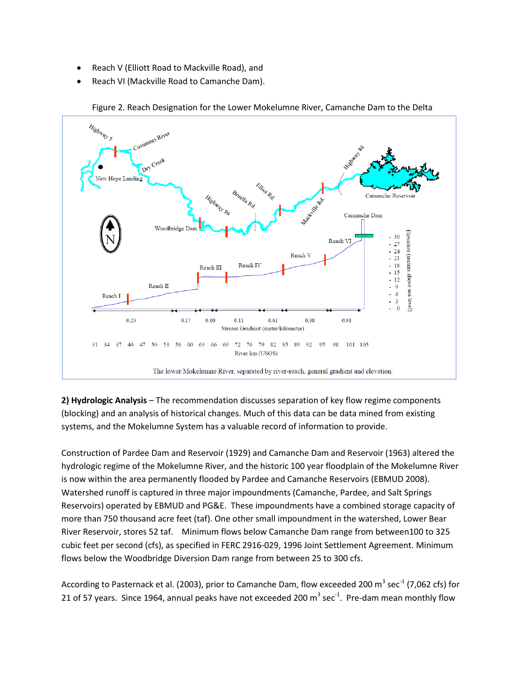- Reach V (Elliott Road to Mackville Road), and
- Reach VI (Mackville Road to Camanche Dam).



Figure 2. Reach Designation for the Lower Mokelumne River, Camanche Dam to the Delta

**2) Hydrologic Analysis** – The recommendation discusses separation of key flow regime components (blocking) and an analysis of historical changes. Much of this data can be data mined from existing systems, and the Mokelumne System has a valuable record of information to provide.

Construction of Pardee Dam and Reservoir (1929) and Camanche Dam and Reservoir (1963) altered the hydrologic regime of the Mokelumne River, and the historic 100 year floodplain of the Mokelumne River is now within the area permanently flooded by Pardee and Camanche Reservoirs (EBMUD 2008). Watershed runoff is captured in three major impoundments (Camanche, Pardee, and Salt Springs Reservoirs) operated by EBMUD and PG&E. These impoundments have a combined storage capacity of more than 750 thousand acre feet (taf). One other small impoundment in the watershed, Lower Bear River Reservoir, stores 52 taf. Minimum flows below Camanche Dam range from between100 to 325 cubic feet per second (cfs), as specified in FERC 2916‐029, 1996 Joint Settlement Agreement. Minimum flows below the Woodbridge Diversion Dam range from between 25 to 300 cfs.

According to Pasternack et al. (2003), prior to Camanche Dam, flow exceeded 200 m<sup>3</sup> sec<sup>-1</sup> (7,062 cfs) for 21 of 57 years. Since 1964, annual peaks have not exceeded 200  $m^3$  sec<sup>-1</sup>. Pre-dam mean monthly flow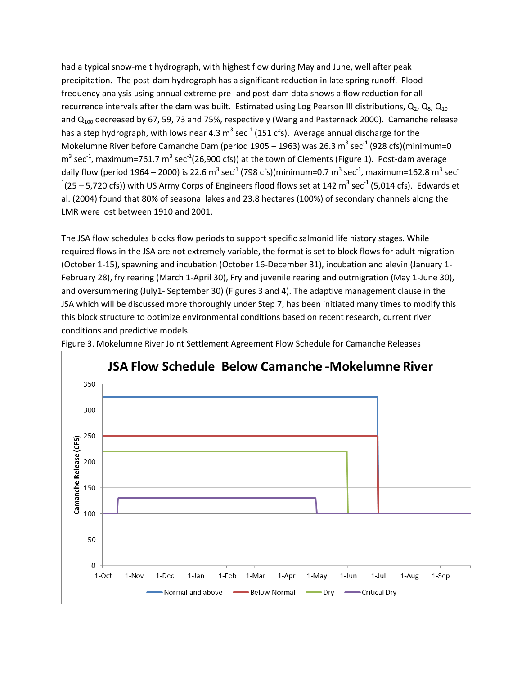had a typical snow-melt hydrograph, with highest flow during May and June, well after peak precipitation. The post-dam hydrograph has a significant reduction in late spring runoff. Flood frequency analysis using annual extreme pre- and post-dam data shows a flow reduction for all recurrence intervals after the dam was built. Estimated using Log Pearson III distributions,  $Q_2$ ,  $Q_5$ ,  $Q_{10}$ and  $Q_{100}$  decreased by 67, 59, 73 and 75%, respectively (Wang and Pasternack 2000). Camanche release has a step hydrograph, with lows near 4.3  $m^3$  sec<sup>-1</sup> (151 cfs). Average annual discharge for the Mokelumne River before Camanche Dam (period 1905 – 1963) was 26.3  $\text{m}^3$  sec<sup>-1</sup> (928 cfs)(minimum=0  $m^3$  sec<sup>-1</sup>, maximum=761.7  $m^3$  sec<sup>-1</sup>(26,900 cfs)) at the town of Clements (Figure 1). Post-dam average daily flow (period 1964 – 2000) is 22.6  $\textsf{m}^{3}$  sec $^{\textsf{-1}}$  (798 cfs)(minimum=0.7  $\textsf{m}^{3}$  sec $^{\textsf{-1}}$ , maximum=162.8  $\textsf{m}^{3}$  sec $^{\textsf{-1}}$  $^{1}$ (25 – 5,720 cfs)) with US Army Corps of Engineers flood flows set at 142 m<sup>3</sup> sec<sup>-1</sup> (5,014 cfs). Edwards et al. (2004) found that 80% of seasonal lakes and 23.8 hectares (100%) of secondary channels along the LMR were lost between 1910 and 2001.

The JSA flow schedules blocks flow periods to support specific salmonid life history stages. While required flows in the JSA are not extremely variable, the format is set to block flows for adult migration (October 1-15), spawning and incubation (October 16-December 31), incubation and alevin (January 1- February 28), fry rearing (March 1-April 30), Fry and juvenile rearing and outmigration (May 1-June 30), and oversummering (July1- September 30) (Figures 3 and 4). The adaptive management clause in the JSA which will be discussed more thoroughly under Step 7, has been initiated many times to modify this this block structure to optimize environmental conditions based on recent research, current river conditions and predictive models.



Figure 3. Mokelumne River Joint Settlement Agreement Flow Schedule for Camanche Releases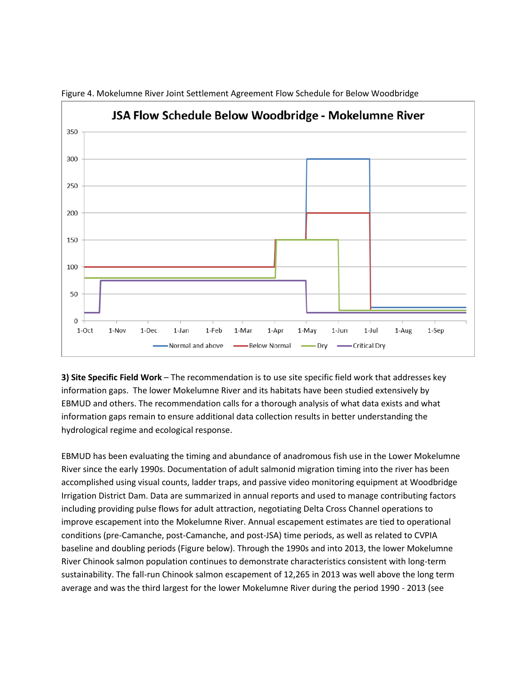

Figure 4. Mokelumne River Joint Settlement Agreement Flow Schedule for Below Woodbridge

**3) Site Specific Field Work** – The recommendation is to use site specific field work that addresses key information gaps. The lower Mokelumne River and its habitats have been studied extensively by EBMUD and others. The recommendation calls for a thorough analysis of what data exists and what information gaps remain to ensure additional data collection results in better understanding the hydrological regime and ecological response.

EBMUD has been evaluating the timing and abundance of anadromous fish use in the Lower Mokelumne River since the early 1990s. Documentation of adult salmonid migration timing into the river has been accomplished using visual counts, ladder traps, and passive video monitoring equipment at Woodbridge Irrigation District Dam. Data are summarized in annual reports and used to manage contributing factors including providing pulse flows for adult attraction, negotiating Delta Cross Channel operations to improve escapement into the Mokelumne River. Annual escapement estimates are tied to operational conditions (pre-Camanche, post-Camanche, and post-JSA) time periods, as well as related to CVPIA baseline and doubling periods (Figure below). Through the 1990s and into 2013, the lower Mokelumne River Chinook salmon population continues to demonstrate characteristics consistent with long-term sustainability. The fall-run Chinook salmon escapement of 12,265 in 2013 was well above the long term average and was the third largest for the lower Mokelumne River during the period 1990 - 2013 (see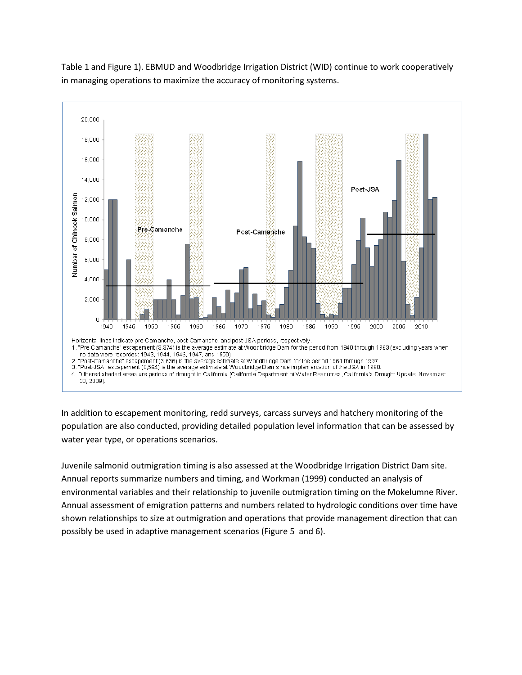

Table 1 and Figure 1). EBMUD and Woodbridge Irrigation District (WID) continue to work cooperatively in managing operations to maximize the accuracy of monitoring systems.

In addition to escapement monitoring, redd surveys, carcass surveys and hatchery monitoring of the population are also conducted, providing detailed population level information that can be assessed by water year type, or operations scenarios.

Juvenile salmonid outmigration timing is also assessed at the Woodbridge Irrigation District Dam site. Annual reports summarize numbers and timing, and Workman (1999) conducted an analysis of environmental variables and their relationship to juvenile outmigration timing on the Mokelumne River. Annual assessment of emigration patterns and numbers related to hydrologic conditions over time have shown relationships to size at outmigration and operations that provide management direction that can possibly be used in adaptive management scenarios (Figure 5 and 6).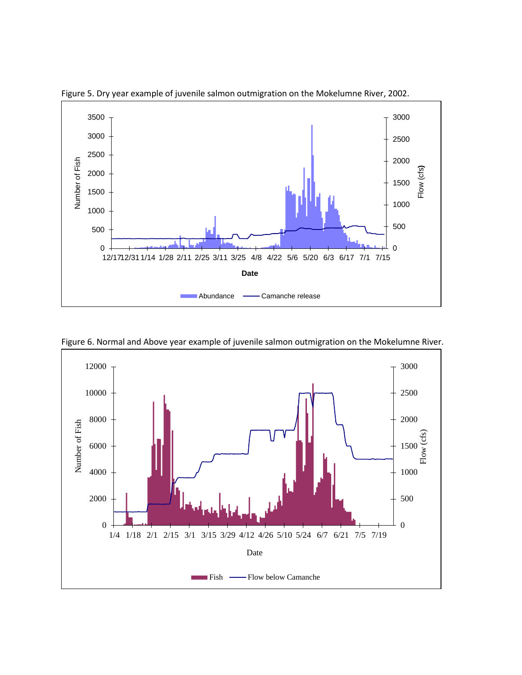

Figure 5. Dry year example of juvenile salmon outmigration on the Mokelumne River, 2002.



Figure 6. Normal and Above year example of juvenile salmon outmigration on the Mokelumne River.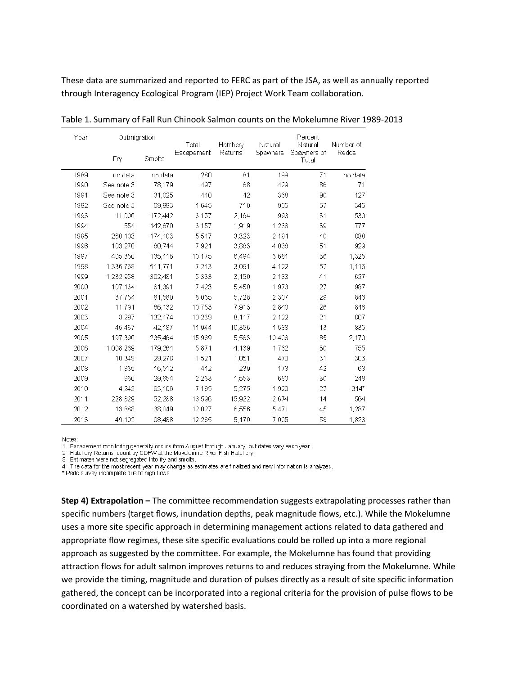These data are summarized and reported to FERC as part of the JSA, as well as annually reported through Interagency Ecological Program (IEP) Project Work Team collaboration.

| Year | Outmigration |         | Total      | Hatchery | Natural         | Percent<br>Natural   | Number of |
|------|--------------|---------|------------|----------|-----------------|----------------------|-----------|
|      | Fry          | Smolts  | Escapement | Returns  | <b>Spawners</b> | Spawners of<br>Total | Redds     |
| 1989 | no data      | no data | 280        | 81       | 199             | 71                   | no data   |
| 1990 | See note 3   | 78.179  | 497        | 68       | 429             | 86                   | 71        |
| 1991 | See note 3   | 31,025  | 410        | 42       | 368             | 90                   | 127       |
| 1992 | See note 3   | 69,993  | 1,645      | 710      | 935             | 57                   | 345       |
| 1993 | 11.006       | 172,442 | 3,157      | 2.164    | 993             | 31                   | 530       |
| 1994 | 554          | 142,670 | 3,157      | 1.919    | 1,238           | 39                   | 777       |
| 1995 | 260,103      | 174,103 | 5,517      | 3,323    | 2,194           | 40                   | 888       |
| 1996 | 103,270      | 80,744  | 7,921      | 3,883    | 4,038           | 51                   | 929       |
| 1997 | 405.350      | 135.116 | 10.175     | 6.494    | 3.681           | 36                   | 1.325     |
| 1998 | 1.336.768    | 511,771 | 7,213      | 3.091    | 4,122           | 57                   | 1,116     |
| 1999 | 1,232,958    | 302,481 | 5,333      | 3,150    | 2,183           | 41                   | 627       |
| 2000 | 107,134      | 61,391  | 7,423      | 5,450    | 1,973           | 27                   | 987       |
| 2001 | 37.754       | 81.580  | 8,035      | 5,728    | 2,307           | 29                   | 843       |
| 2002 | 11.791       | 66.132  | 10,753     | 7.913    | 2,840           | 26                   | 848       |
| 2003 | 8.297        | 132.174 | 10,239     | 8,117    | 2,122           | 21                   | 807       |
| 2004 | 45,467       | 42.187  | 11,944     | 10,356   | 1,588           | 13                   | 835       |
| 2005 | 197.390      | 235.484 | 15,969     | 5.563    | 10,406          | 65                   | 2,170     |
| 2006 | 1.008.289    | 179.264 | 5,871      | 4.139    | 1,732           | 30                   | 755       |
| 2007 | 10,349       | 29,278  | 1,521      | 1,051    | 470             | 31                   | 306       |
| 2008 | 1,835        | 16,512  | 412        | 239      | 173             | 42                   | 63        |
| 2009 | 960          | 29,654  | 2,233      | 1,553    | 680             | 30                   | 248       |
| 2010 | 4,243        | 63,106  | 7,195      | 5,275    | 1,920           | 27                   | $314*$    |
| 2011 | 228,829      | 52,288  | 18,596     | 15,922   | 2,674           | 14                   | 564       |
| 2012 | 13,888       | 38,049  | 12,027     | 6,556    | 5,471           | 45                   | 1,287     |
| 2013 | 49,102       | 98,488  | 12.265     | 5,170    | 7,095           | 58                   | 1,823     |

Table 1. Summary of Fall Run Chinook Salmon counts on the Mokelumne River 1989-2013

Notes:

3. Estimates were not segregated into fry and smolts.

4. The data for the most recent year may change as estimates are finalized and new information is analyzed.

\* Redd survey incomplete due to high flows

**Step 4) Extrapolation –** The committee recommendation suggests extrapolating processes rather than specific numbers (target flows, inundation depths, peak magnitude flows, etc.). While the Mokelumne uses a more site specific approach in determining management actions related to data gathered and appropriate flow regimes, these site specific evaluations could be rolled up into a more regional approach as suggested by the committee. For example, the Mokelumne has found that providing attraction flows for adult salmon improves returns to and reduces straying from the Mokelumne. While we provide the timing, magnitude and duration of pulses directly as a result of site specific information gathered, the concept can be incorporated into a regional criteria for the provision of pulse flows to be coordinated on a watershed by watershed basis.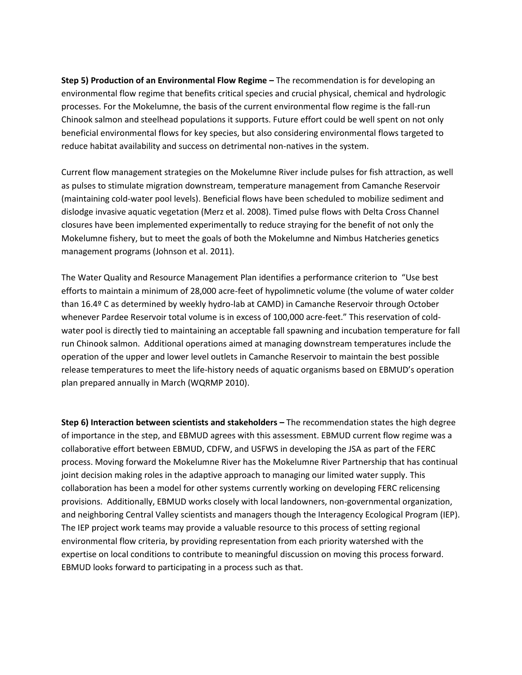**Step 5) Production of an Environmental Flow Regime –** The recommendation is for developing an environmental flow regime that benefits critical species and crucial physical, chemical and hydrologic processes. For the Mokelumne, the basis of the current environmental flow regime is the fall-run Chinook salmon and steelhead populations it supports. Future effort could be well spent on not only beneficial environmental flows for key species, but also considering environmental flows targeted to reduce habitat availability and success on detrimental non-natives in the system.

Current flow management strategies on the Mokelumne River include pulses for fish attraction, as well as pulses to stimulate migration downstream, temperature management from Camanche Reservoir (maintaining cold-water pool levels). Beneficial flows have been scheduled to mobilize sediment and dislodge invasive aquatic vegetation (Merz et al. 2008). Timed pulse flows with Delta Cross Channel closures have been implemented experimentally to reduce straying for the benefit of not only the Mokelumne fishery, but to meet the goals of both the Mokelumne and Nimbus Hatcheries genetics management programs (Johnson et al. 2011).

The Water Quality and Resource Management Plan identifies a performance criterion to "Use best efforts to maintain a minimum of 28,000 acre-feet of hypolimnetic volume (the volume of water colder than 16.4º C as determined by weekly hydro-lab at CAMD) in Camanche Reservoir through October whenever Pardee Reservoir total volume is in excess of 100,000 acre-feet." This reservation of coldwater pool is directly tied to maintaining an acceptable fall spawning and incubation temperature for fall run Chinook salmon. Additional operations aimed at managing downstream temperatures include the operation of the upper and lower level outlets in Camanche Reservoir to maintain the best possible release temperatures to meet the life-history needs of aquatic organisms based on EBMUD's operation plan prepared annually in March (WQRMP 2010).

**Step 6) Interaction between scientists and stakeholders –** The recommendation states the high degree of importance in the step, and EBMUD agrees with this assessment. EBMUD current flow regime was a collaborative effort between EBMUD, CDFW, and USFWS in developing the JSA as part of the FERC process. Moving forward the Mokelumne River has the Mokelumne River Partnership that has continual joint decision making roles in the adaptive approach to managing our limited water supply. This collaboration has been a model for other systems currently working on developing FERC relicensing provisions. Additionally, EBMUD works closely with local landowners, non-governmental organization, and neighboring Central Valley scientists and managers though the Interagency Ecological Program (IEP). The IEP project work teams may provide a valuable resource to this process of setting regional environmental flow criteria, by providing representation from each priority watershed with the expertise on local conditions to contribute to meaningful discussion on moving this process forward. EBMUD looks forward to participating in a process such as that.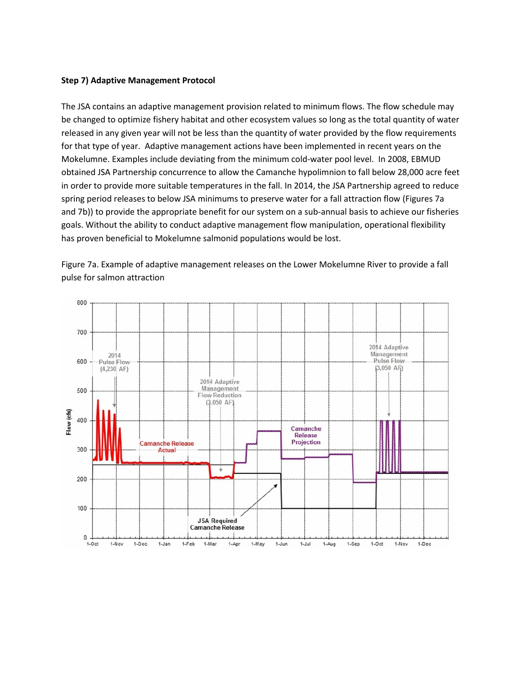## **Step 7) Adaptive Management Protocol**

The JSA contains an adaptive management provision related to minimum flows. The flow schedule may be changed to optimize fishery habitat and other ecosystem values so long as the total quantity of water released in any given year will not be less than the quantity of water provided by the flow requirements for that type of year. Adaptive management actions have been implemented in recent years on the Mokelumne. Examples include deviating from the minimum cold-water pool level. In 2008, EBMUD obtained JSA Partnership concurrence to allow the Camanche hypolimnion to fall below 28,000 acre feet in order to provide more suitable temperatures in the fall. In 2014, the JSA Partnership agreed to reduce spring period releases to below JSA minimums to preserve water for a fall attraction flow (Figures 7a and 7b)) to provide the appropriate benefit for our system on a sub-annual basis to achieve our fisheries goals. Without the ability to conduct adaptive management flow manipulation, operational flexibility has proven beneficial to Mokelumne salmonid populations would be lost.

Figure 7a. Example of adaptive management releases on the Lower Mokelumne River to provide a fall pulse for salmon attraction

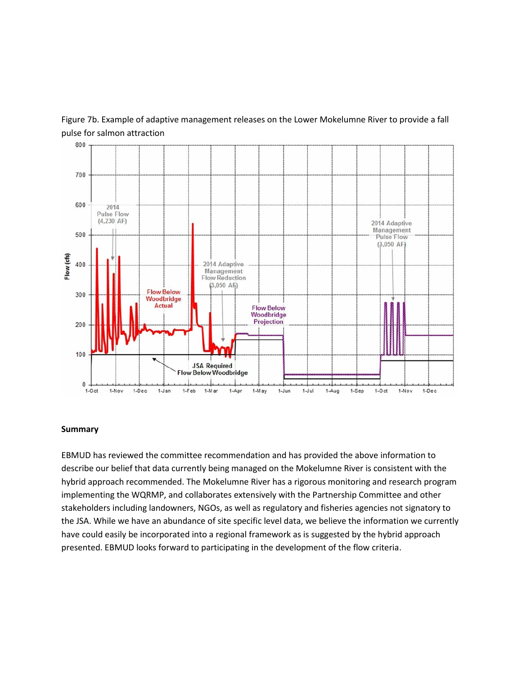



#### **Summary**

EBMUD has reviewed the committee recommendation and has provided the above information to describe our belief that data currently being managed on the Mokelumne River is consistent with the hybrid approach recommended. The Mokelumne River has a rigorous monitoring and research program implementing the WQRMP, and collaborates extensively with the Partnership Committee and other stakeholders including landowners, NGOs, as well as regulatory and fisheries agencies not signatory to the JSA. While we have an abundance of site specific level data, we believe the information we currently have could easily be incorporated into a regional framework as is suggested by the hybrid approach presented. EBMUD looks forward to participating in the development of the flow criteria.